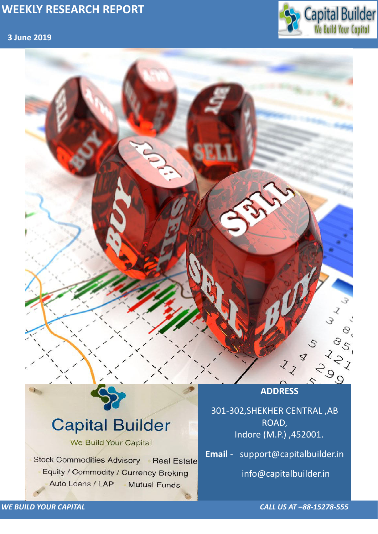## **3 June 2019**



*WE BUILD YOUR CAPITAL CALL US AT –88-15278-555*



# **Capital Builder** We Build Your Capital Stock Commodities Advisory Real Estate Equity / Commodity / Currency Broking Auto Loans / LAP **Mutual Funds**

301-302,SHEKHER CENTRAL ,AB ROAD, Indore (M.P.) ,452001.

**Email** - support@capitalbuilder.in

info@capitalbuilder.in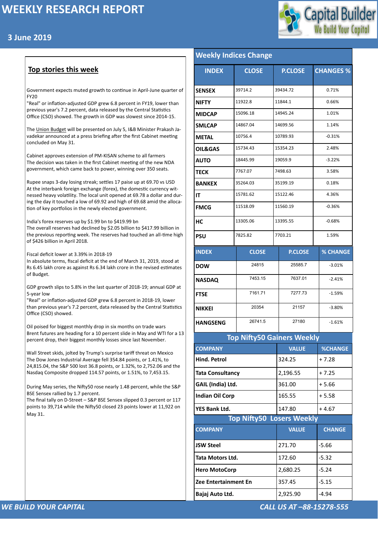



#### *WE BUILD YOUR CAPITAL CALL US AT –88-15278-555*

#### **Top stories this week**

Government expects muted growth to continue in April-June quarter of FY20

"Real" or inflation-adjusted GDP grew 6.8 percent in FY19, lower than previous year's 7.2 percent, data released by the Central Statistics Office (CSO) showed. The growth in GDP was slowest since 2014-15.

The [Union Budget](http://www.moneycontrol.com/budget-2018/) will be presented on July 5, I&B Minister Prakash Javadekar announced at a press briefing after the first Cabinet meeting concluded on May 31.

Cabinet approves extension of PM-KISAN scheme to all farmers The decision was taken in the first Cabinet meeting of the new NDA government, which came back to power, winning over 350 seats.

Rupee snaps 3-day losing streak; settles 17 paise up at 69.70 vs USD At the interbank foreign exchange (forex), the domestic currency witnessed heavy volatility. The local unit opened at 69.78 a dollar and during the day it touched a low of 69.92 and high of 69.68 amid the alloca[tio](https://api.whatsapp.com/send?text=Cabinet%20approves%20extension%20of%20PM-KISAN%20scheme%20to%20all%20farmers%20-%20https://www.moneycontrol.com/news/india/cabinet-approves-extension-of-pm-kisan-scheme-to-all-farmers-4053361.html)n of key portfolios in the newly elected government.

India's forex reserves up by \$1.99 bn to \$419.99 bn

The overall reserves had declined by \$2.05 billion to \$417.99 billion in the previous reporting week. The reserves had touched an all-time high of \$426 billion in April 2018.

Fiscal deficit lower at 3.39% in 2018-19

In absolute terms, fiscal deficit at the end of March 31, 2019, stood at Rs 6.45 lakh crore as against Rs 6.34 lakh crore in the revised estimates of Budget.

GDP growth slips to 5.8% in the last quarter of 2018-19; annual GDP at 5-year low

"Real" or inflation-adjusted GDP grew 6.8 percent in 2018-19, lower than previous year's 7.2 percent, data released by the Central Statistics Office (CSO) showed.

Oil poised for biggest monthly drop in six months on trade wars Brent futures are heading for a 10 percent slide in May and WTI for a 13 percent drop, their biggest monthly losses since last November.

Wall Street skids, jolted by Trump's surprise tariff threat on Mexico The Dow Jones Industrial Average fell 354.84 points, or 1.41%, to 24,815.04, the S&P 500 lost 36.8 points, or 1.32%, to 2,752.06 and the Nasdaq Composite dropped 114.57 points, or 1.51%, to 7,453.15.

During May series, the Nifty50 rose nearly 1.48 percent, while the S&P BSE Sensex rallied by 1.7 percent.

The final tally on D-Street – S&P BSE Sensex slipped 0.3 percent or 117

| points to 39,714 while the Nifty50 closed 23 points lower at 11,922 on |  |
|------------------------------------------------------------------------|--|
| May 31.                                                                |  |

| <b>Weekly Indices Change</b>      |              |                |                |                  |                 |  |  |
|-----------------------------------|--------------|----------------|----------------|------------------|-----------------|--|--|
| <b>INDEX</b>                      | <b>CLOSE</b> | <b>P.CLOSE</b> |                | <b>CHANGES %</b> |                 |  |  |
| <b>SENSEX</b>                     | 39714.2      |                | 39434.72       |                  | 0.71%           |  |  |
| <b>NIFTY</b>                      | 11922.8      |                | 11844.1        |                  | 0.66%           |  |  |
| <b>MIDCAP</b>                     | 15096.18     |                | 14945.24       |                  | 1.01%           |  |  |
| <b>SMLCAP</b>                     | 14867.04     |                | 14699.56       |                  | 1.14%           |  |  |
| <b>METAL</b>                      | 10756.4      |                | 10789.93       |                  | $-0.31%$        |  |  |
| <b>OIL&amp;GAS</b>                | 15734.43     |                | 15354.23       |                  | 2.48%           |  |  |
| <b>AUTO</b>                       | 18445.99     |                | 19059.9        |                  | $-3.22%$        |  |  |
| <b>TECK</b>                       | 7767.07      |                | 7498.63        |                  | 3.58%           |  |  |
| <b>BANKEX</b>                     | 35264.03     |                | 35199.19       |                  | 0.18%           |  |  |
| IT                                | 15781.62     |                | 15122.46       |                  | 4.36%           |  |  |
| <b>FMCG</b>                       | 11518.09     |                | 11560.19       |                  | $-0.36%$        |  |  |
| HC                                | 13305.06     |                | 13395.55       |                  | $-0.68%$        |  |  |
| <b>PSU</b>                        | 7825.82      | 7703.21        |                | 1.59%            |                 |  |  |
| <b>INDEX</b>                      | <b>CLOSE</b> |                | <b>P.CLOSE</b> |                  | <b>% CHANGE</b> |  |  |
| <b>DOW</b>                        | 24815        |                | 25585.7        |                  | $-3.01%$        |  |  |
| <b>NASDAQ</b>                     | 7453.15      |                | 7637.01        |                  | $-2.41%$        |  |  |
| <b>FTSE</b>                       | 7161.71      |                | 7277.73        |                  | $-1.59%$        |  |  |
| <b>NIKKEI</b>                     | 20354        |                | 21157          |                  | $-3.80%$        |  |  |
| <b>HANGSENG</b>                   | 26741.5      |                | 27180          |                  | $-1.61%$        |  |  |
| <b>Top Nifty50 Gainers Weekly</b> |              |                |                |                  |                 |  |  |

| <b>IPP INITYSY SUITERS INCENTS</b> |              |                |  |  |  |  |
|------------------------------------|--------------|----------------|--|--|--|--|
| <b>COMPANY</b>                     | <b>VALUE</b> | <b>%CHANGE</b> |  |  |  |  |
| <b>Hind. Petrol</b>                | 324.25       | $+7.28$        |  |  |  |  |
| <b>Tata Consultancy</b>            | 2,196.55     | $+7.25$        |  |  |  |  |
| GAIL (India) Ltd.                  | 361.00       | $+5.66$        |  |  |  |  |
| <b>Indian Oil Corp</b>             | 165.55       | $+5.58$        |  |  |  |  |
| <b>YES Bank Ltd.</b>               | 147.80       | $+4.67$        |  |  |  |  |
| <b>Top Nifty50 Losers Weekly</b>   |              |                |  |  |  |  |
| <b>COMPANY</b>                     | <b>VALUE</b> | <b>CHANGE</b>  |  |  |  |  |
| <b>JSW Steel</b>                   |              |                |  |  |  |  |
|                                    | 271.70       | $-5.66$        |  |  |  |  |
| <b>Tata Motors Ltd.</b>            | 172.60       | $-5.32$        |  |  |  |  |
| <b>Hero MotoCorp</b>               | 2,680.25     | $-5.24$        |  |  |  |  |
| Zee Entertainment En               | 357.45       | $-5.15$        |  |  |  |  |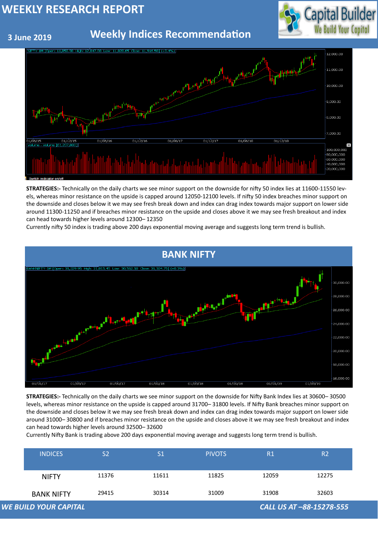

 **3 June 2019**

## **Weekly Indices Recommendation**

| <b>BANK NIFTY</b> | 29415          | 30314          | 31009         | 31908 | 32603          |
|-------------------|----------------|----------------|---------------|-------|----------------|
| <b>NIFTY</b>      | 11376          | 11611          | 11825         | 12059 | 12275          |
| <b>INDICES</b>    | S <sub>2</sub> | S <sub>1</sub> | <b>PIVOTS</b> | R1    | R <sub>2</sub> |





**STRATEGIES:-** Technically on the daily charts we see minor support on the downside for nifty 50 index lies at 11600-11550 levels, whereas minor resistance on the upside is capped around 12050-12100 levels. If nifty 50 index breaches minor support on the downside and closes below it we may see fresh break down and index can drag index towards major support on lower side around 11300-11250 and if breaches minor resistance on the upside and closes above it we may see fresh breakout and index can head towards higher levels around 12300– 12350

Currently nifty 50 index is trading above 200 days exponential moving average and suggests long term trend is bullish.

**STRATEGIES:-** Technically on the daily charts we see minor support on the downside for Nifty Bank Index lies at 30600– 30500 levels, whereas minor resistance on the upside is capped around 31700– 31800 levels. If Nifty Bank breaches minor support on the downside and closes below it we may see fresh break down and index can drag index towards major support on lower side around 31000– 30800 and if breaches minor resistance on the upside and closes above it we may see fresh breakout and index can head towards higher levels around 32500– 32600

Currently Nifty Bank is trading above 200 days exponential moving average and suggests long term trend is bullish.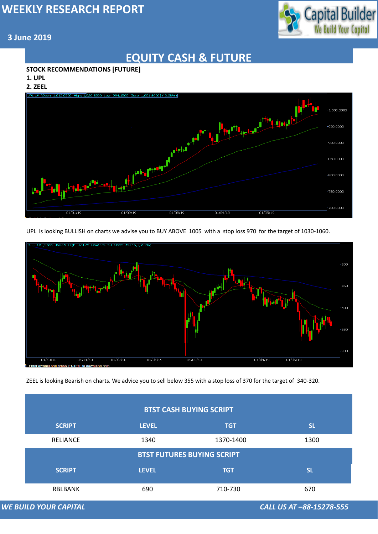

#### **3 June 2019**

## **EQUITY CASH & FUTURE**

#### **STOCK RECOMMENDATIONS [FUTURE]**

**1. UPL**

**2. ZEEL**



UPL is looking BULLISH on charts we advise you to BUY ABOVE 1005 with a stop loss 970 for the target of 1030-1060.



| <b>BTST CASH BUYING SCRIPT</b>                           |              |            |           |  |  |  |
|----------------------------------------------------------|--------------|------------|-----------|--|--|--|
| <b>SCRIPT</b>                                            | <b>LEVEL</b> | <b>TGT</b> | <b>SL</b> |  |  |  |
| <b>RELIANCE</b>                                          | 1340         | 1370-1400  | 1300      |  |  |  |
| <b>BTST FUTURES BUYING SCRIPT</b>                        |              |            |           |  |  |  |
| <b>SCRIPT</b>                                            | <b>LEVEL</b> | <b>TGT</b> | <b>SL</b> |  |  |  |
| <b>RBLBANK</b>                                           | 690          | 710-730    | 670       |  |  |  |
| <b>WE BUILD YOUR CAPITAL</b><br>CALL US AT -88-15278-555 |              |            |           |  |  |  |

ZEEL is looking Bearish on charts. We advice you to sell below 355 with a stop loss of 370 for the target of 340-320.